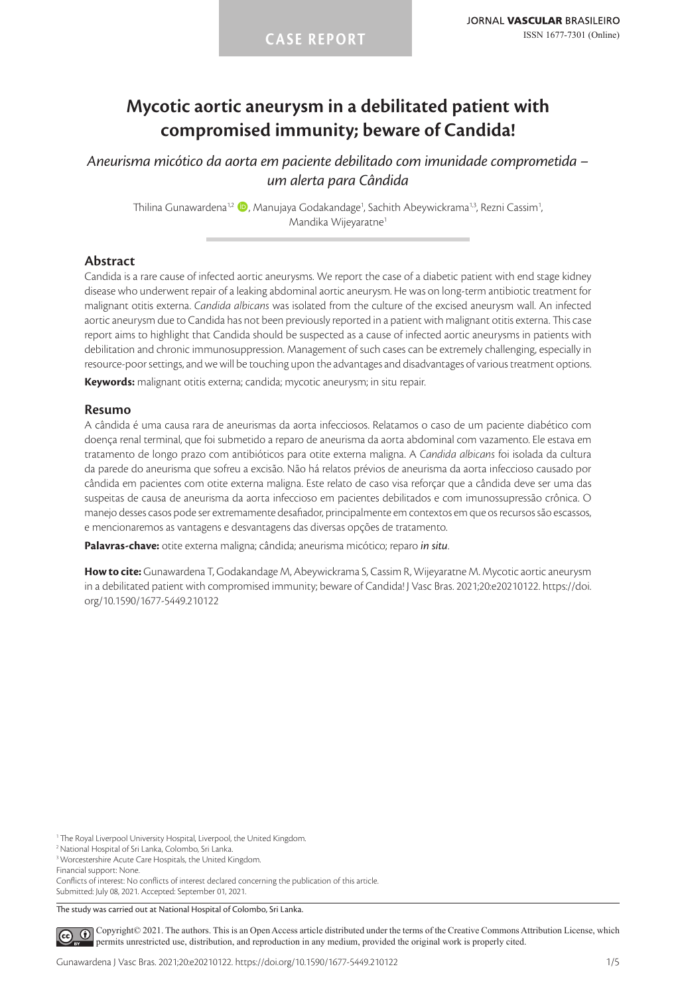# **Mycotic aortic aneurysm in a debilitated patient with compromised immunity; beware of Candida!**

*Aneurisma micótico da aorta em paciente debilitado com imunidade comprometida – um alerta para Cândida*

Thilina Gunawardena<sup>1,2</sup> (D, Manujaya Godakandage<sup>1</sup>, Sachith Abeywickrama<sup>1,3</sup>, Rezni Cassim<sup>1</sup>, Mandika Wijeyaratne<sup>1</sup>

## **Abstract**

Candida is a rare cause of infected aortic aneurysms. We report the case of a diabetic patient with end stage kidney disease who underwent repair of a leaking abdominal aortic aneurysm. He was on long-term antibiotic treatment for malignant otitis externa. *Candida albicans* was isolated from the culture of the excised aneurysm wall. An infected aortic aneurysm due to Candida has not been previously reported in a patient with malignant otitis externa. This case report aims to highlight that Candida should be suspected as a cause of infected aortic aneurysms in patients with debilitation and chronic immunosuppression. Management of such cases can be extremely challenging, especially in resource-poor settings, and we will be touching upon the advantages and disadvantages of various treatment options.

**Keywords:** malignant otitis externa; candida; mycotic aneurysm; in situ repair.

#### **Resumo**

A cândida é uma causa rara de aneurismas da aorta infecciosos. Relatamos o caso de um paciente diabético com doença renal terminal, que foi submetido a reparo de aneurisma da aorta abdominal com vazamento. Ele estava em tratamento de longo prazo com antibióticos para otite externa maligna. A *Candida albicans* foi isolada da cultura da parede do aneurisma que sofreu a excisão. Não há relatos prévios de aneurisma da aorta infeccioso causado por cândida em pacientes com otite externa maligna. Este relato de caso visa reforçar que a cândida deve ser uma das suspeitas de causa de aneurisma da aorta infeccioso em pacientes debilitados e com imunossupressão crônica. O manejo desses casos pode ser extremamente desafiador, principalmente em contextos em que os recursos são escassos, e mencionaremos as vantagens e desvantagens das diversas opções de tratamento.

**Palavras-chave:** otite externa maligna; cândida; aneurisma micótico; reparo *in situ*.

**How to cite:** Gunawardena T, Godakandage M, Abeywickrama S, Cassim R, Wijeyaratne M. Mycotic aortic aneurysm in a debilitated patient with compromised immunity; beware of Candida! J Vasc Bras. 2021;20:e20210122. https://doi. org/10.1590/1677-5449.210122

<sup>1</sup> The Royal Liverpool University Hospital, Liverpool, the United Kingdom.

Financial support: None.

Conflicts of interest: No conflicts of interest declared concerning the publication of this article. Submitted: July 08, 2021. Accepted: September 01, 2021.

The study was carried out at National Hospital of Colombo, Sri Lanka.

[C](https://creativecommons.org/licenses/by/4.0/)opyright© 2021. The authors. This is an Open Access article distributed under the terms of the Creative Commons Attribution License, which  $\left( \widehat{cc} \right)$ permits unrestricted use, distribution, and reproduction in any medium, provided the original work is properly cited.

<sup>&</sup>lt;sup>2</sup> National Hospital of Sri Lanka, Colombo, Sri Lanka

<sup>&</sup>lt;sup>3</sup> Worcestershire Acute Care Hospitals, the United Kingdom.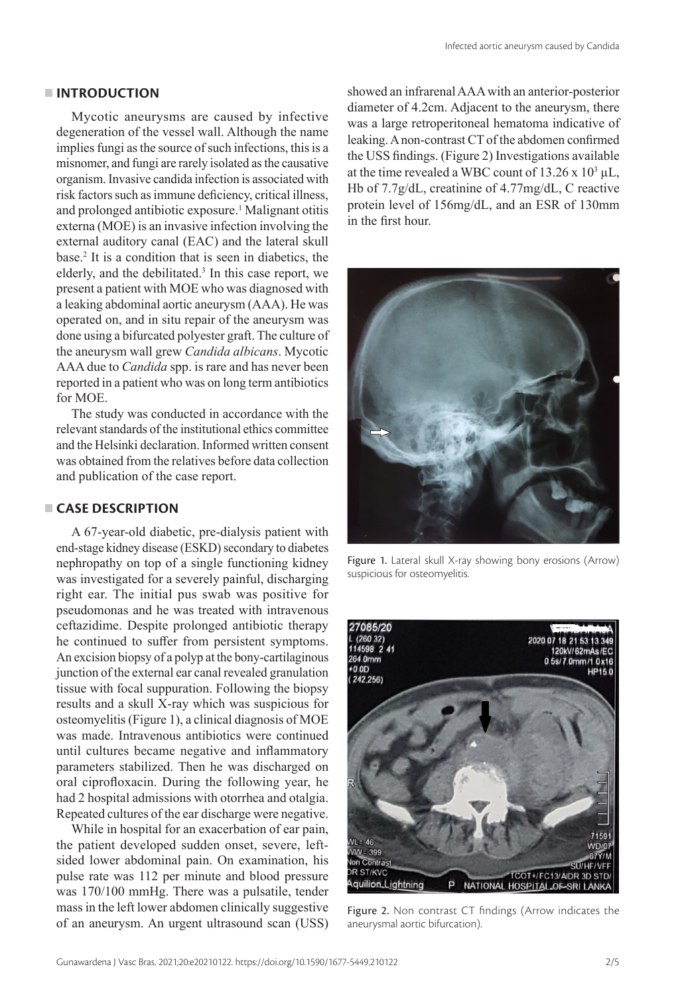## **INTRODUCTION**

Mycotic aneurysms are caused by infective degeneration of the vessel wall. Although the name implies fungi as the source of such infections, this is a misnomer, and fungi are rarely isolated as the causative organism. Invasive candida infection is associated with risk factors such as immune deficiency, critical illness, and prolonged antibiotic exposure.<sup>1</sup> Malignant otitis externa (MOE) is an invasive infection involving the external auditory canal (EAC) and the lateral skull base.2 It is a condition that is seen in diabetics, the elderly, and the debilitated.<sup>3</sup> In this case report, we present a patient with MOE who was diagnosed with a leaking abdominal aortic aneurysm (AAA). He was operated on, and in situ repair of the aneurysm was done using a bifurcated polyester graft. The culture of the aneurysm wall grew *Candida albicans*. Mycotic AAA due to *Candida* spp. is rare and has never been reported in a patient who was on long term antibiotics for MOE.

The study was conducted in accordance with the relevant standards of the institutional ethics committee and the Helsinki declaration. Informed written consent was obtained from the relatives before data collection and publication of the case report.

# **CASE DESCRIPTION**

A 67-year-old diabetic, pre-dialysis patient with end-stage kidney disease (ESKD) secondary to diabetes nephropathy on top of a single functioning kidney was investigated for a severely painful, discharging right ear. The initial pus swab was positive for pseudomonas and he was treated with intravenous ceftazidime. Despite prolonged antibiotic therapy he continued to suffer from persistent symptoms. An excision biopsy of a polyp at the bony-cartilaginous junction of the external ear canal revealed granulation tissue with focal suppuration. Following the biopsy results and a skull X-ray which was suspicious for osteomyelitis (Figure 1), a clinical diagnosis of MOE was made. Intravenous antibiotics were continued until cultures became negative and inflammatory parameters stabilized. Then he was discharged on oral ciprofloxacin. During the following year, he had 2 hospital admissions with otorrhea and otalgia. Repeated cultures of the ear discharge were negative.

While in hospital for an exacerbation of ear pain, the patient developed sudden onset, severe, leftsided lower abdominal pain. On examination, his pulse rate was 112 per minute and blood pressure was 170/100 mmHg. There was a pulsatile, tender mass in the left lower abdomen clinically suggestive of an aneurysm. An urgent ultrasound scan (USS) showed an infrarenal AAA with an anterior-posterior diameter of 4.2cm. Adjacent to the aneurysm, there was a large retroperitoneal hematoma indicative of leaking. A non-contrast CT of the abdomen confirmed the USS findings. (Figure 2) Investigations available at the time revealed a WBC count of  $13.26 \times 10^3 \mu L$ , Hb of 7.7g/dL, creatinine of 4.77mg/dL, C reactive protein level of 156mg/dL, and an ESR of 130mm in the first hour.



Figure 1. Lateral skull X-ray showing bony erosions (Arrow) suspicious for osteomyelitis.



Figure 2. Non contrast CT findings (Arrow indicates the aneurysmal aortic bifurcation).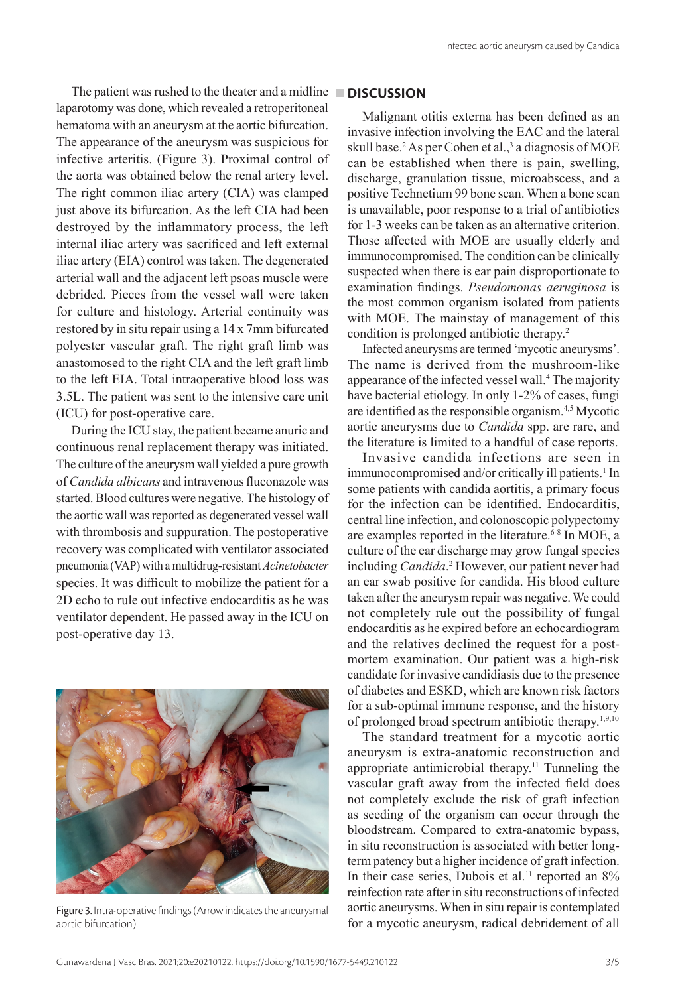The patient was rushed to the theater and a midline **DISCUSSION** laparotomy was done, which revealed a retroperitoneal hematoma with an aneurysm at the aortic bifurcation. The appearance of the aneurysm was suspicious for infective arteritis. (Figure 3). Proximal control of the aorta was obtained below the renal artery level. The right common iliac artery (CIA) was clamped just above its bifurcation. As the left CIA had been destroyed by the inflammatory process, the left internal iliac artery was sacrificed and left external iliac artery (EIA) control was taken. The degenerated arterial wall and the adjacent left psoas muscle were debrided. Pieces from the vessel wall were taken for culture and histology. Arterial continuity was restored by in situ repair using a 14 x 7mm bifurcated polyester vascular graft. The right graft limb was anastomosed to the right CIA and the left graft limb to the left EIA. Total intraoperative blood loss was

(ICU) for post-operative care. During the ICU stay, the patient became anuric and continuous renal replacement therapy was initiated. The culture of the aneurysm wall yielded a pure growth of *Candida albicans* and intravenous fluconazole was started. Blood cultures were negative. The histology of the aortic wall was reported as degenerated vessel wall with thrombosis and suppuration. The postoperative recovery was complicated with ventilator associated pneumonia (VAP) with a multidrug-resistant *Acinetobacter* species. It was difficult to mobilize the patient for a 2D echo to rule out infective endocarditis as he was ventilator dependent. He passed away in the ICU on post-operative day 13.

3.5L. The patient was sent to the intensive care unit



Figure 3. Intra-operative findings (Arrow indicates the aneurysmal aortic bifurcation).

Malignant otitis externa has been defined as an invasive infection involving the EAC and the lateral skull base.<sup>2</sup> As per Cohen et al.,<sup>3</sup> a diagnosis of MOE can be established when there is pain, swelling, discharge, granulation tissue, microabscess, and a positive Technetium 99 bone scan. When a bone scan is unavailable, poor response to a trial of antibiotics for 1-3 weeks can be taken as an alternative criterion. Those affected with MOE are usually elderly and immunocompromised. The condition can be clinically suspected when there is ear pain disproportionate to examination findings. *Pseudomonas aeruginosa* is the most common organism isolated from patients with MOE. The mainstay of management of this condition is prolonged antibiotic therapy.<sup>2</sup>

Infected aneurysms are termed 'mycotic aneurysms'. The name is derived from the mushroom-like appearance of the infected vessel wall.<sup>4</sup> The majority have bacterial etiology. In only 1-2% of cases, fungi are identified as the responsible organism.4,5 Mycotic aortic aneurysms due to *Candida* spp. are rare, and the literature is limited to a handful of case reports.

Invasive candida infections are seen in immunocompromised and/or critically ill patients.<sup>1</sup> In some patients with candida aortitis, a primary focus for the infection can be identified. Endocarditis, central line infection, and colonoscopic polypectomy are examples reported in the literature.<sup>6-8</sup> In MOE, a culture of the ear discharge may grow fungal species including *Candida*. 2 However, our patient never had an ear swab positive for candida. His blood culture taken after the aneurysm repair was negative. We could not completely rule out the possibility of fungal endocarditis as he expired before an echocardiogram and the relatives declined the request for a postmortem examination. Our patient was a high-risk candidate for invasive candidiasis due to the presence of diabetes and ESKD, which are known risk factors for a sub-optimal immune response, and the history of prolonged broad spectrum antibiotic therapy.1,9,10

The standard treatment for a mycotic aortic aneurysm is extra-anatomic reconstruction and appropriate antimicrobial therapy.11 Tunneling the vascular graft away from the infected field does not completely exclude the risk of graft infection as seeding of the organism can occur through the bloodstream. Compared to extra-anatomic bypass, in situ reconstruction is associated with better longterm patency but a higher incidence of graft infection. In their case series, Dubois et al.<sup>11</sup> reported an 8% reinfection rate after in situ reconstructions of infected aortic aneurysms. When in situ repair is contemplated for a mycotic aneurysm, radical debridement of all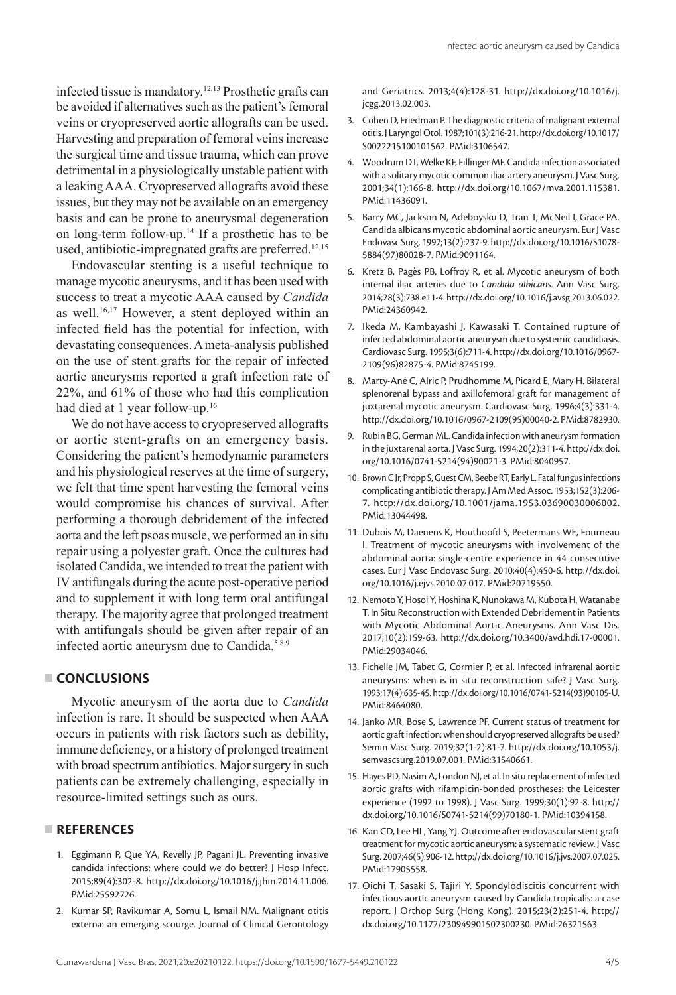infected tissue is mandatory.12,13 Prosthetic grafts can be avoided if alternatives such as the patient's femoral veins or cryopreserved aortic allografts can be used. Harvesting and preparation of femoral veins increase the surgical time and tissue trauma, which can prove detrimental in a physiologically unstable patient with a leaking AAA. Cryopreserved allografts avoid these issues, but they may not be available on an emergency basis and can be prone to aneurysmal degeneration on long-term follow-up.14 If a prosthetic has to be used, antibiotic-impregnated grafts are preferred.<sup>12,15</sup>

Endovascular stenting is a useful technique to manage mycotic aneurysms, and it has been used with success to treat a mycotic AAA caused by *Candida* as well.<sup>16,17</sup> However, a stent deployed within an infected field has the potential for infection, with devastating consequences. A meta-analysis published on the use of stent grafts for the repair of infected aortic aneurysms reported a graft infection rate of 22%, and 61% of those who had this complication had died at 1 year follow-up.<sup>16</sup>

We do not have access to cryopreserved allografts or aortic stent-grafts on an emergency basis. Considering the patient's hemodynamic parameters and his physiological reserves at the time of surgery, we felt that time spent harvesting the femoral veins would compromise his chances of survival. After performing a thorough debridement of the infected aorta and the left psoas muscle, we performed an in situ repair using a polyester graft. Once the cultures had isolated Candida, we intended to treat the patient with IV antifungals during the acute post-operative period and to supplement it with long term oral antifungal therapy. The majority agree that prolonged treatment with antifungals should be given after repair of an infected aortic aneurysm due to Candida.<sup>5,8,9</sup>

#### **CONCLUSIONS**

Mycotic aneurysm of the aorta due to *Candida* infection is rare. It should be suspected when AAA occurs in patients with risk factors such as debility, immune deficiency, or a history of prolonged treatment with broad spectrum antibiotics. Major surgery in such patients can be extremely challenging, especially in resource-limited settings such as ours.

# **REFERENCES**

- 1. Eggimann P, Que YA, Revelly JP, Pagani JL. Preventing invasive candida infections: where could we do better? J Hosp Infect. 2015;89(4):302-8. [http://dx.doi.org/10.1016/j.jhin.2014.11.006.](https://doi.org/10.1016/j.jhin.2014.11.006) [PMid:25592726.](https://www.ncbi.nlm.nih.gov/entrez/query.fcgi?cmd=Retrieve&db=PubMed&list_uids=25592726&dopt=Abstract)
- 2. Kumar SP, Ravikumar A, Somu L, Ismail NM. Malignant otitis externa: an emerging scourge. Journal of Clinical Gerontology

and Geriatrics. 2013;4(4):128-31. [http://dx.doi.org/10.1016/j.](https://doi.org/10.1016/j.jcgg.2013.02.003) [jcgg.2013.02.003.](https://doi.org/10.1016/j.jcgg.2013.02.003)

- 3. Cohen D, Friedman P. The diagnostic criteria of malignant external otitis. J Laryngol Otol. 1987;101(3):216-21. [http://dx.doi.org/10.1017/](https://doi.org/10.1017/S0022215100101562) [S0022215100101562](https://doi.org/10.1017/S0022215100101562). [PMid:3106547.](https://www.ncbi.nlm.nih.gov/entrez/query.fcgi?cmd=Retrieve&db=PubMed&list_uids=3106547&dopt=Abstract)
- 4. Woodrum DT, Welke KF, Fillinger MF. Candida infection associated with a solitary mycotic common iliac artery aneurysm. J Vasc Surg. 2001;34(1):166-8. [http://dx.doi.org/10.1067/mva.2001.115381](https://doi.org/10.1067/mva.2001.115381). [PMid:11436091.](https://www.ncbi.nlm.nih.gov/entrez/query.fcgi?cmd=Retrieve&db=PubMed&list_uids=11436091&dopt=Abstract)
- 5. Barry MC, Jackson N, Adeboysku D, Tran T, McNeil I, Grace PA. Candida albicans mycotic abdominal aortic aneurysm. Eur J Vasc Endovasc Surg. 1997;13(2):237-9. [http://dx.doi.org/10.1016/S1078-](https://doi.org/10.1016/S1078-5884(97)80028-7) [5884\(97\)80028-7.](https://doi.org/10.1016/S1078-5884(97)80028-7) [PMid:9091164.](https://www.ncbi.nlm.nih.gov/entrez/query.fcgi?cmd=Retrieve&db=PubMed&list_uids=9091164&dopt=Abstract)
- 6. Kretz B, Pagès PB, Loffroy R, et al. Mycotic aneurysm of both internal iliac arteries due to *Candida albicans*. Ann Vasc Surg. 2014;28(3):738.e11-4. [http://dx.doi.org/10.1016/j.avsg.2013.06.022](https://doi.org/10.1016/j.avsg.2013.06.022). [PMid:24360942.](https://www.ncbi.nlm.nih.gov/entrez/query.fcgi?cmd=Retrieve&db=PubMed&list_uids=24360942&dopt=Abstract)
- 7. Ikeda M, Kambayashi J, Kawasaki T. Contained rupture of infected abdominal aortic aneurysm due to systemic candidiasis. Cardiovasc Surg. 1995;3(6):711-4. [http://dx.doi.org/10.1016/0967-](https://doi.org/10.1016/0967-2109(96)82875-4) [2109\(96\)82875-4.](https://doi.org/10.1016/0967-2109(96)82875-4) [PMid:8745199.](https://www.ncbi.nlm.nih.gov/entrez/query.fcgi?cmd=Retrieve&db=PubMed&list_uids=8745199&dopt=Abstract)
- 8. Marty-Ané C, Alric P, Prudhomme M, Picard E, Mary H. Bilateral splenorenal bypass and axillofemoral graft for management of juxtarenal mycotic aneurysm. Cardiovasc Surg. 1996;4(3):331-4. [http://dx.doi.org/10.1016/0967-2109\(95\)00040-2.](https://doi.org/10.1016/0967-2109(95)00040-2) [PMid:8782930.](https://www.ncbi.nlm.nih.gov/entrez/query.fcgi?cmd=Retrieve&db=PubMed&list_uids=8782930&dopt=Abstract)
- 9. Rubin BG, German ML. Candida infection with aneurysm formation in the juxtarenal aorta. J Vasc Surg. 1994;20(2):311-4. [http://dx.doi.](https://doi.org/10.1016/0741-5214(94)90021-3) [org/10.1016/0741-5214\(94\)90021-3](https://doi.org/10.1016/0741-5214(94)90021-3). [PMid:8040957.](https://www.ncbi.nlm.nih.gov/entrez/query.fcgi?cmd=Retrieve&db=PubMed&list_uids=8040957&dopt=Abstract)
- 10. Brown C Jr, Propp S, Guest CM, Beebe RT, Early L. Fatal fungus infections complicating antibiotic therapy. J Am Med Assoc. 1953;152(3):206- 7. [http://dx.doi.org/10.1001/jama.1953.03690030006002](https://doi.org/10.1001/jama.1953.03690030006002). [PMid:13044498.](https://www.ncbi.nlm.nih.gov/entrez/query.fcgi?cmd=Retrieve&db=PubMed&list_uids=13044498&dopt=Abstract)
- 11. Dubois M, Daenens K, Houthoofd S, Peetermans WE, Fourneau I. Treatment of mycotic aneurysms with involvement of the abdominal aorta: single-centre experience in 44 consecutive cases. Eur J Vasc Endovasc Surg. 2010;40(4):450-6. [http://dx.doi.](https://doi.org/10.1016/j.ejvs.2010.07.017) [org/10.1016/j.ejvs.2010.07.017](https://doi.org/10.1016/j.ejvs.2010.07.017)[. PMid:20719550.](https://www.ncbi.nlm.nih.gov/entrez/query.fcgi?cmd=Retrieve&db=PubMed&list_uids=20719550&dopt=Abstract)
- 12. Nemoto Y, Hosoi Y, Hoshina K, Nunokawa M, Kubota H, Watanabe T. In Situ Reconstruction with Extended Debridement in Patients with Mycotic Abdominal Aortic Aneurysms. Ann Vasc Dis. 2017;10(2):159-63. [http://dx.doi.org/10.3400/avd.hdi.17-00001](https://doi.org/10.3400/avd.hdi.17-00001). [PMid:29034046.](https://www.ncbi.nlm.nih.gov/entrez/query.fcgi?cmd=Retrieve&db=PubMed&list_uids=29034046&dopt=Abstract)
- 13. Fichelle JM, Tabet G, Cormier P, et al. Infected infrarenal aortic aneurysms: when is in situ reconstruction safe? J Vasc Surg. 1993;17(4):635-45. [http://dx.doi.org/10.1016/0741-5214\(93\)90105-U](https://doi.org/10.1016/0741-5214(93)90105-U). [PMid:8464080.](https://www.ncbi.nlm.nih.gov/entrez/query.fcgi?cmd=Retrieve&db=PubMed&list_uids=8464080&dopt=Abstract)
- 14. Janko MR, Bose S, Lawrence PF. Current status of treatment for aortic graft infection: when should cryopreserved allografts be used? Semin Vasc Surg. 2019;32(1-2):81-7. [http://dx.doi.org/10.1053/j.](https://doi.org/10.1053/j.semvascsurg.2019.07.001) [semvascsurg.2019.07.001.](https://doi.org/10.1053/j.semvascsurg.2019.07.001) [PMid:31540661.](https://www.ncbi.nlm.nih.gov/entrez/query.fcgi?cmd=Retrieve&db=PubMed&list_uids=31540661&dopt=Abstract)
- 15. Hayes PD, Nasim A, London NJ, et al. In situ replacement of infected aortic grafts with rifampicin-bonded prostheses: the Leicester experience (1992 to 1998). J Vasc Surg. 1999;30(1):92-8. [http://](https://doi.org/10.1016/S0741-5214(99)70180-1) [dx.doi.org/10.1016/S0741-5214\(99\)70180-1](https://doi.org/10.1016/S0741-5214(99)70180-1). [PMid:10394158.](https://www.ncbi.nlm.nih.gov/entrez/query.fcgi?cmd=Retrieve&db=PubMed&list_uids=10394158&dopt=Abstract)
- 16. Kan CD, Lee HL, Yang YJ. Outcome after endovascular stent graft treatment for mycotic aortic aneurysm: a systematic review. J Vasc Surg. 2007;46(5):906-12. [http://dx.doi.org/10.1016/j.jvs.2007.07.025](https://doi.org/10.1016/j.jvs.2007.07.025). [PMid:17905558.](https://www.ncbi.nlm.nih.gov/entrez/query.fcgi?cmd=Retrieve&db=PubMed&list_uids=17905558&dopt=Abstract)
- 17. Oichi T, Sasaki S, Tajiri Y. Spondylodiscitis concurrent with infectious aortic aneurysm caused by Candida tropicalis: a case report. J Orthop Surg (Hong Kong). 2015;23(2):251-4. [http://](https://doi.org/10.1177/230949901502300230) [dx.doi.org/10.1177/230949901502300230](https://doi.org/10.1177/230949901502300230)[. PMid:26321563.](https://www.ncbi.nlm.nih.gov/entrez/query.fcgi?cmd=Retrieve&db=PubMed&list_uids=26321563&dopt=Abstract)